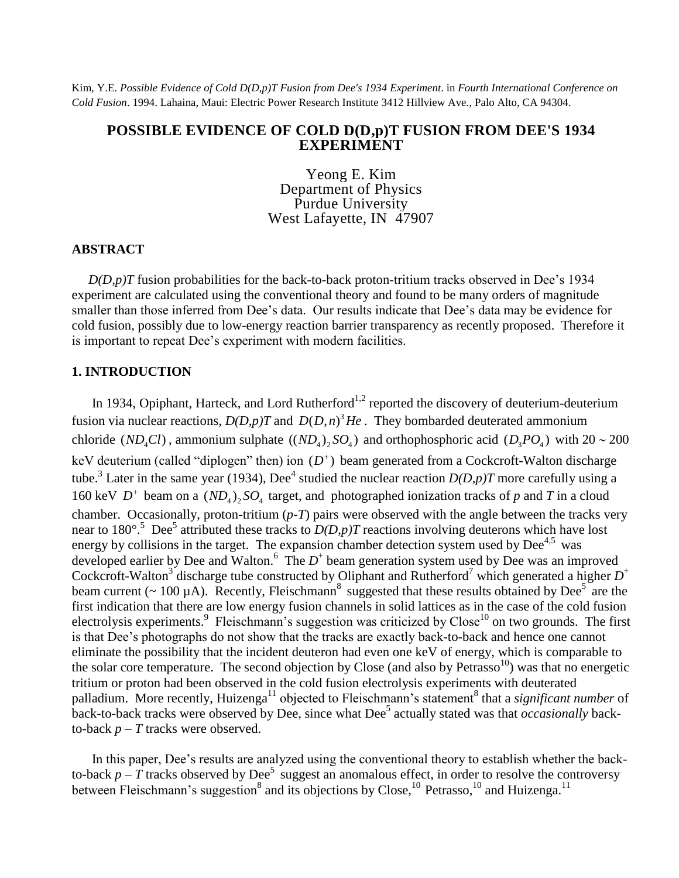Kim, Y.E. *Possible Evidence of Cold D(D,p)T Fusion from Dee's 1934 Experiment*. in *Fourth International Conference on Cold Fusion*. 1994. Lahaina, Maui: Electric Power Research Institute 3412 Hillview Ave., Palo Alto, CA 94304.

## **POSSIBLE EVIDENCE OF COLD D(D,p)T FUSION FROM DEE'S 1934 EXPERIMENT**

Yeong E. Kim Department of Physics Purdue University West Lafayette, IN 47907

## **ABSTRACT**

 $D(D,p)T$  fusion probabilities for the back-to-back proton-tritium tracks observed in Dee's 1934 experiment are calculated using the conventional theory and found to be many orders of magnitude smaller than those inferred from Dee's data. Our results indicate that Dee's data may be evidence for cold fusion, possibly due to low-energy reaction barrier transparency as recently proposed. Therefore it is important to repeat Dee's experiment with modern facilities.

# **1. INTRODUCTION**

In 1934, Opiphant, Harteck, and Lord Rutherford<sup>1,2</sup> reported the discovery of deuterium-deuterium fusion via nuclear reactions,  $D(D,p)T$  and  $D(D,n)^3He$ . They bombarded deuterated ammonium chloride (*ND<sub>4</sub>Cl*), ammonium sulphate ((*ND<sub>4</sub>*)<sub>2</sub>*SO<sub>4</sub>*) and orthophosphoric acid (*D<sub>3</sub>PO<sub>4</sub>*) with 20 ~ 200 keV deuterium (called "diplogen" then) ion  $(D^+)$  beam generated from a Cockcroft-Walton discharge tube.<sup>3</sup> Later in the same year (1934), Dee<sup>4</sup> studied the nuclear reaction  $D(D,p)T$  more carefully using a 160 keV  $D^+$  beam on a  $(ND_4)_2 SO_4$  target, and photographed ionization tracks of p and T in a cloud chamber. Occasionally, proton-tritium (*p-T*) pairs were observed with the angle between the tracks very near to 180°.<sup>5</sup> Dee<sup>5</sup> attributed these tracks to  $D(D, p)T$  reactions involving deuterons which have lost energy by collisions in the target. The expansion chamber detection system used by  $Dee^{4,5}$  was developed earlier by Dee and Walton.<sup>6</sup> The  $D^+$  beam generation system used by Dee was an improved Cockcroft-Walton<sup>3</sup> discharge tube constructed by Oliphant and Rutherford<sup>7</sup> which generated a higher  $D^+$ beam current ( $\sim 100 \mu$ A). Recently, Fleischmann<sup>8</sup> suggested that these results obtained by Dee<sup>5</sup> are the first indication that there are low energy fusion channels in solid lattices as in the case of the cold fusion electrolysis experiments.<sup>9</sup> Fleischmann's suggestion was criticized by Close<sup>10</sup> on two grounds. The first is that Dee's photographs do not show that the tracks are exactly back-to-back and hence one cannot eliminate the possibility that the incident deuteron had even one keV of energy, which is comparable to the solar core temperature. The second objection by Close (and also by Petrasso<sup>10</sup>) was that no energetic tritium or proton had been observed in the cold fusion electrolysis experiments with deuterated palladium. More recently, Huizenga<sup>11</sup> objected to Fleischmann's statement<sup>8</sup> that a *significant number* of hack-to-back tracks were observed by Dee, since what Dee<sup>5</sup> actually stated was that *occasionally* backto-back  $p - T$  tracks were observed.

In this paper, Dee's results are analyzed using the conventional theory to establish whether the backto-back  $p - T$  tracks observed by Dee<sup>5</sup> suggest an anomalous effect, in order to resolve the controversy between Fleischmann's suggestion<sup>8</sup> and its objections by Close,<sup>10</sup> Petrasso,<sup>10</sup> and Huizenga.<sup>11</sup>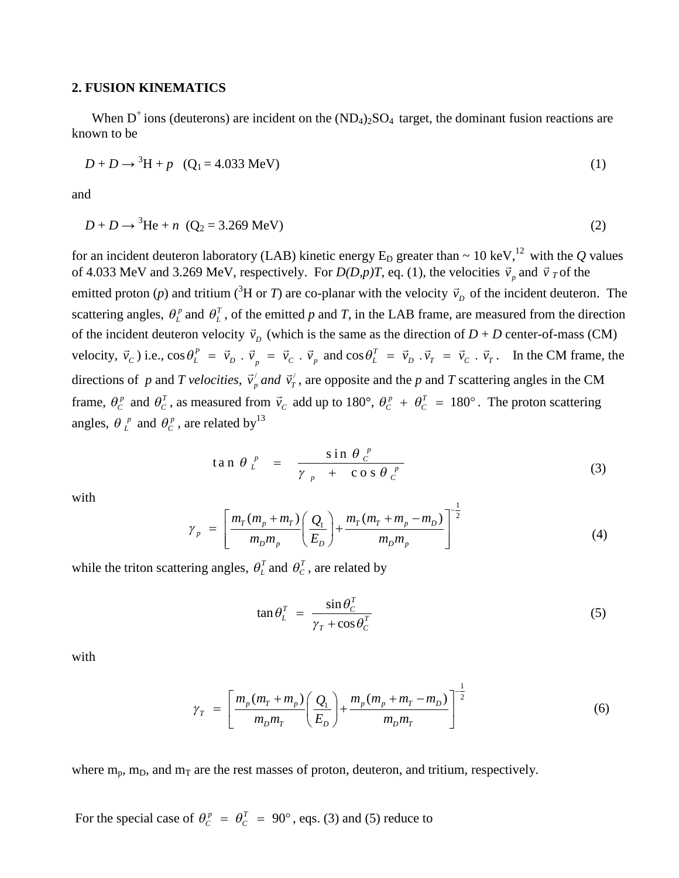## **2. FUSION KINEMATICS**

When  $D^+$  ions (deuterons) are incident on the  $(ND_4)_2SO_4$  target, the dominant fusion reactions are known to be

$$
D + D \to {}^{3}H + p \quad (Q_1 = 4.033 \text{ MeV})
$$
 (1)

and

$$
D + D \to {}^{3}\text{He} + n \ (Q_{2} = 3.269 \text{ MeV}) \tag{2}
$$

for an incident deuteron laboratory (LAB) kinetic energy  $E_D$  greater than  $\sim 10 \text{ keV}$ ,<sup>12</sup> with the *Q* values of 4.033 MeV and 3.269 MeV, respectively. For  $D(D,p)T$ , eq. (1), the velocities  $\vec{v}_p$  and  $\vec{v}_T$  of the emitted proton (*p*) and tritium (<sup>3</sup>H or *T*) are co-planar with the velocity  $\vec{v}_p$  of the incident deuteron. The scattering angles,  $\theta_L^p$  and  $\theta_L^T$ , of the emitted p and T, in the LAB frame, are measured from the direction of the incident deuteron velocity  $\vec{v}_D$  (which is the same as the direction of  $D + D$  center-of-mass (CM) velocity,  $\vec{v}_c$ ) i.e.,  $\cos \theta_L^P = \vec{v}_D \cdot \vec{v}_p = \vec{v}_C \cdot \vec{v}_p$  and  $\cos \theta_L^T = \vec{v}_D \cdot \vec{v}_T = \vec{v}_C \cdot \vec{v}_T$ . In the CM frame, the directions of *p* and *T* velocities,  $\vec{v}_p$  and  $\vec{v}_T$ , are opposite and the *p* and *T* scattering angles in the CM frame,  $\theta_c^p$  and  $\theta_c^T$ , as measured from  $\vec{v}_c$  add up to 180°,  $\theta_c^p + \theta_c^T = 180$ °. The proton scattering angles,  $\theta_L^p$  and  $\theta_C^p$ , are related by<sup>13</sup>

$$
\tan \theta \Big|_{L}^{p} = \frac{\sin \theta \Big|_{C}^{p}}{\gamma \Big|_{p} + \cos \theta \Big|_{C}^{p}}
$$
 (3)

with

$$
\gamma_{p} = \left[ \frac{m_{T}(m_{p} + m_{T})}{m_{D}m_{p}} \left( \frac{Q_{1}}{E_{D}} \right) + \frac{m_{T}(m_{T} + m_{p} - m_{D})}{m_{D}m_{p}} \right]^{-\frac{1}{2}}
$$
(4)

while the triton scattering angles,  $\theta_L^T$  and  $\theta_C^T$ , are related by

$$
\tan \theta_L^T = \frac{\sin \theta_C^T}{\gamma_T + \cos \theta_C^T}
$$
\n(5)

with

$$
\gamma_T = \left[ \frac{m_p(m_T + m_p)}{m_D m_T} \left( \frac{Q_1}{E_D} \right) + \frac{m_p(m_p + m_T - m_D)}{m_D m_T} \right]^{-\frac{1}{2}}
$$
(6)

where  $m_p$ ,  $m_D$ , and  $m_T$  are the rest masses of proton, deuteron, and tritium, respectively.

For the special case of  $\theta_c^p = \theta_c^T = 90^\circ$ , eqs. (3) and (5) reduce to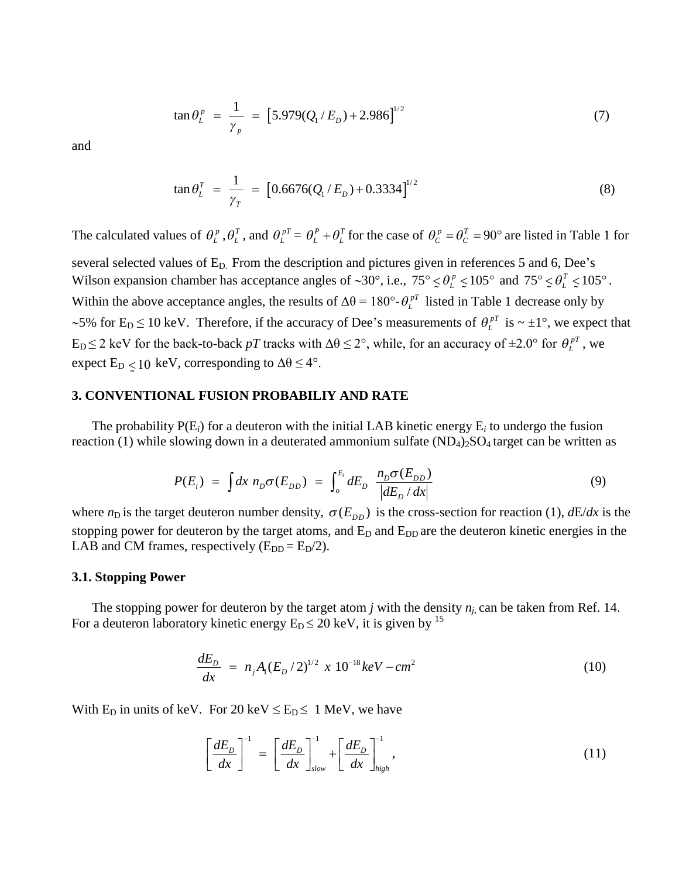$$
\tan \theta_L^p = \frac{1}{\gamma_p} = [5.979(Q_1/E_p) + 2.986]^{1/2}
$$
 (7)

and

$$
\tan \theta_L^T = \frac{1}{\gamma_T} = [0.6676(Q_1/E_D) + 0.3334]^{1/2}
$$
\n(8)

The calculated values of  $\theta_L^p$ ,  $\theta_L^T$ , and  $\theta_L^{pT} = \theta_L^P + \theta_L^T$  for the case of  $\theta_C^p = \theta_C^T = 90^\circ$  are listed in Table 1 for

several selected values of  $E_D$ . From the description and pictures given in references 5 and 6, Dee's Wilson expansion chamber has acceptance angles of ~30°, i.e.,  $75^{\circ} \le \theta_L^p \le 105^{\circ}$  and  $75^{\circ} \le \theta_L^T \le 105^{\circ}$ .  $\therefore$   $\bigcup_{L \in \mathcal{L}} \bigcup_{L \in \mathcal{L}} \bigcup_{L \in \mathcal{L}} \bigcup_{L \in \mathcal{L}} \bigcup_{L \in \mathcal{L}} \bigcup_{L \in \mathcal{L}} \bigcup_{L \in \mathcal{L}} \bigcup_{L \in \mathcal{L}} \bigcup_{L \in \mathcal{L}} \bigcup_{L \in \mathcal{L}} \bigcup_{L \in \mathcal{L}} \bigcup_{L \in \mathcal{L}} \bigcup_{L \in \mathcal{L}} \bigcup_{L \in \mathcal{L}} \bigcup_{L \in \mathcal{L}} \bigcup_{L \in \mathcal{L}} \bigcup_{L \$ Within the above acceptance angles, the results of  $\Delta\theta = 180^\circ \text{·} \theta_L^{pT}$  listed in Table 1 decrease only by ~5% for  $E_D \le 10$  keV. Therefore, if the accuracy of Dee's measurements of  $\theta_L^{pT}$  is ~  $\pm 1^{\circ}$ , we expect that  $E_D \le 2$  keV for the back-to-back *pT* tracks with  $\Delta\theta \le 2^\circ$ , while, for an accuracy of  $\pm 2.0^\circ$  for  $\theta_L^{pT}$ , we expect  $E_D < 10^{-1}$  $\sim$   $\sim$ keV, corresponding to  $\Delta\theta \leq 4^{\circ}$ .

#### **3. CONVENTIONAL FUSION PROBABILIY AND RATE**

The probability  $P(E_i)$  for a deuteron with the initial LAB kinetic energy  $E_i$  to undergo the fusion reaction (1) while slowing down in a deuterated ammonium sulfate  $(ND_4)_2SO_4$  target can be written as

$$
P(E_i) = \int dx \ n_D \sigma(E_{DD}) = \int_o^{E_i} dE_D \ \frac{n_D \sigma(E_{DD})}{|dE_D/dx|} \tag{9}
$$

where  $n_D$  is the target deuteron number density,  $\sigma(E_{DD})$  is the cross-section for reaction (1),  $dE/dx$  is the stopping power for deuteron by the target atoms, and  $E_D$  and  $E_{DD}$  are the deuteron kinetic energies in the LAB and CM frames, respectively  $(E_{DD} = E_D/2)$ .

#### **3.1. Stopping Power**

The stopping power for deuteron by the target atom *j* with the density  $n_j$  can be taken from Ref. 14. For a deuteron laboratory kinetic energy  $E_D \le 20$  keV, it is given by <sup>15</sup>

$$
\frac{dE_D}{dx} = n_j A_1 (E_D / 2)^{1/2} \times 10^{-18} keV - cm^2 \tag{10}
$$

With  $E_D$  in units of keV. For 20 keV  $\le E_D \le 1$  MeV, we have

$$
\left[\frac{dE_D}{dx}\right]^{-1} = \left[\frac{dE_D}{dx}\right]_{slow}^{-1} + \left[\frac{dE_D}{dx}\right]_{high}^{-1},\tag{11}
$$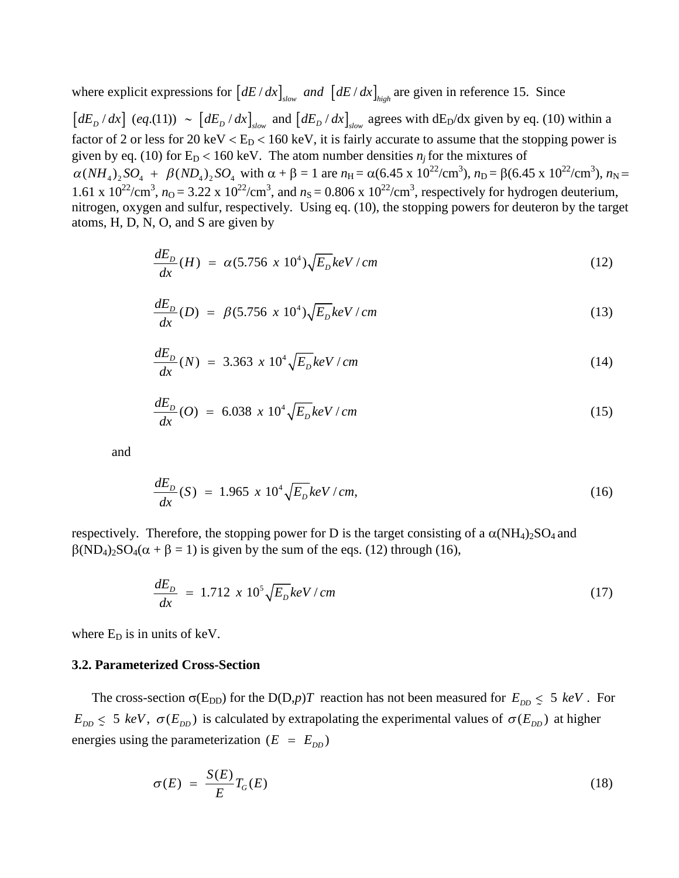where explicit expressions for  $\left[ dE/dx \right]_{slow}$  and  $\left[ dE/dx \right]_{high}$  are given in reference 15. Since

 $\left[ dE_p / dx \right]$  (eq.(11))  $\sim \left[ dE_p / dx \right]_{slow}$  and  $\left[ dE_p / dx \right]_{slow}$  agrees with dE<sub>D</sub>/dx given by eq. (10) within a factor of 2 or less for 20 keV  $\rm < E_D < 160$  keV, it is fairly accurate to assume that the stopping power is given by eq. (10) for  $E_D < 160$  keV. The atom number densities  $n_j$  for the mixtures of  $\alpha(NH_4)_2SO_4 + \beta(ND_4)_2SO_4$  with  $\alpha + \beta = 1$  are  $n_H = \alpha(6.45 \times 10^{22}/\text{cm}^3)$ ,  $n_D = \beta(6.45 \times 10^{22}/\text{cm}^3)$ ,  $n_N =$ 1.61 x  $10^{22}/\text{cm}^3$ ,  $n_\text{O} = 3.22$  x  $10^{22}/\text{cm}^3$ , and  $n_\text{S} = 0.806$  x  $10^{22}/\text{cm}^3$ , respectively for hydrogen deuterium, nitrogen, oxygen and sulfur, respectively. Using eq. (10), the stopping powers for deuteron by the target atoms, H, D, N, O, and S are given by

$$
\frac{dE_D}{dx}(H) = \alpha (5.756 \times 10^4) \sqrt{E_D} keV/cm \tag{12}
$$

$$
\frac{dE_D}{dx}(D) = \beta (5.756 \times 10^4) \sqrt{E_D} keV/cm \tag{13}
$$

$$
\frac{dE_D}{dx}(N) = 3.363 \times 10^4 \sqrt{E_D} keV/cm
$$
\n(14)

$$
\frac{dE_D}{dx}(O) = 6.038 \times 10^4 \sqrt{E_D} keV/cm \tag{15}
$$

and

$$
\frac{dE_D}{dx}(S) = 1.965 \times 10^4 \sqrt{E_D} keV/cm,
$$
\n(16)

respectively. Therefore, the stopping power for D is the target consisting of a  $\alpha(NH_4)_2SO_4$  and  $\beta(ND_4)_2SO_4(\alpha + \beta = 1)$  is given by the sum of the eqs. (12) through (16),

$$
\frac{dE_D}{dx} = 1.712 \times 10^5 \sqrt{E_D} keV/cm \tag{17}
$$

where  $E_D$  is in units of keV.

#### **3.2. Parameterized Cross-Section**

The cross-section  $\sigma(E_{DD})$  for the D(D,*p*)*T* reaction has not been measured for  $E_{DD} \le 5$  *keV* . For  $E_{DD} \leq 5$  keV,  $\sigma(E_{DD})$  is calculated by extrapolating the experimental values of  $\sigma(E_{DD})$  at higher  $\tilde{C}$ energies using the parameterization  $(E = E_{DD})$ 

$$
\sigma(E) = \frac{S(E)}{E} T_G(E) \tag{18}
$$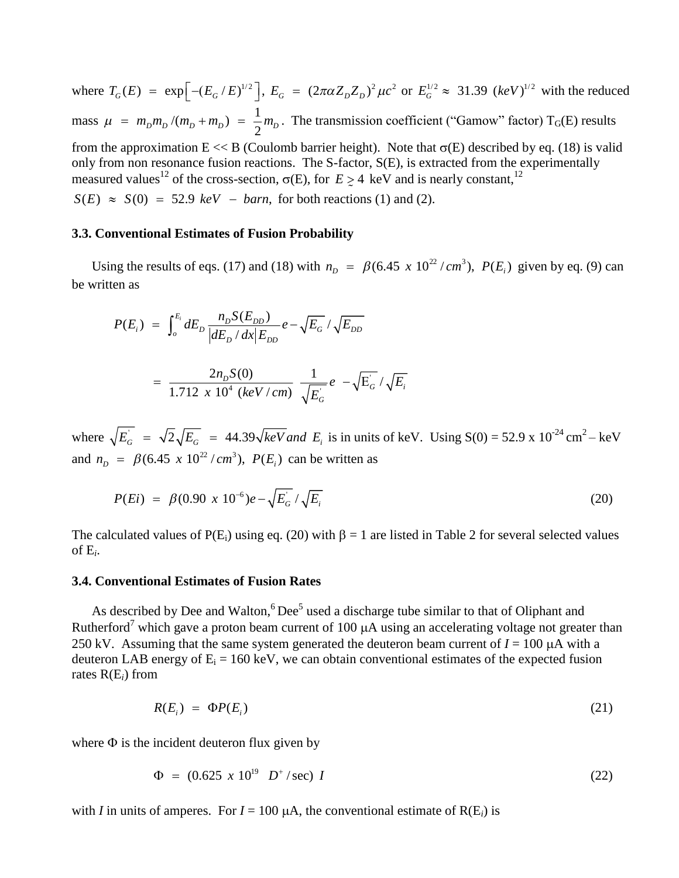where  $T_G(E) = \exp \left[ -(E_G/E)^{1/2} \right]$ ,  $E_G = (2\pi \alpha Z_D Z_D)^2 \mu c^2$  or  $E_G^{1/2} \approx 31.39$   $(keV)^{1/2}$  with the reduced mass  $\mu = m_p m_p / (m_p + m_p) = \frac{1}{2}$  $\mu = m_p m_p / (m_p + m_p) = \frac{1}{2} m_p$ . The transmission coefficient ("Gamow" factor) T<sub>G</sub>(E) results from the approximation  $E \ll B$  (Coulomb barrier height). Note that  $\sigma(E)$  described by eq. (18) is valid only from non resonance fusion reactions. The S-factor, S(E), is extracted from the experimentally measured values<sup>12</sup> of the cross-section,  $\sigma(E)$ , for  $E \ge 4$  keV and is nearly constant,<sup>12</sup>  $\tilde{.}$  $S(E) \approx S(0) = 52.9 \text{ keV} - \text{barn}$ , for both reactions (1) and (2).

#### **3.3. Conventional Estimates of Fusion Probability**

Using the results of eqs. (17) and (18) with  $n_D = \beta (6.45 \times 10^{22} / cm^3)$ ,  $P(E_i)$  given by eq. (9) can be written as

$$
P(E_i) = \int_o^{E_i} dE_D \frac{n_D S(E_{DD})}{|dE_D/dx|E_{DD}} e - \sqrt{E_G} / \sqrt{E_{DD}}
$$

$$
= \frac{2n_{D}S(0)}{1.712 \times 10^{4} \ (keV/cm)} \ \frac{1}{\sqrt{E_{G}}} e - \sqrt{E_{G}} / \sqrt{E_{i}}
$$

where  $\sqrt{E_G}$  =  $\sqrt{2}\sqrt{E_G}$  = 44.39 $\sqrt{keV}$  and  $E_i$  is in units of keV. Using S(0) = 52.9 x 10<sup>-24</sup> cm<sup>2</sup> – keV and  $n_D = \beta (6.45 \times 10^{22} / cm^3)$ ,  $P(E_i)$  can be written as

$$
P(Ei) = \beta (0.90 \times 10^{-6}) e^{-\sqrt{E_{G}}/\sqrt{E_{i}}}
$$
 (20)

The calculated values of  $P(E_i)$  using eq. (20) with  $\beta = 1$  are listed in Table 2 for several selected values of  $E_i$ .

#### **3.4. Conventional Estimates of Fusion Rates**

As described by Dee and Walton, $6$  Dee<sup>5</sup> used a discharge tube similar to that of Oliphant and Rutherford<sup>7</sup> which gave a proton beam current of 100  $\mu$ A using an accelerating voltage not greater than 250 kV. Assuming that the same system generated the deuteron beam current of  $I = 100 \mu A$  with a deuteron LAB energy of  $E_i = 160 \text{ keV}$ , we can obtain conventional estimates of the expected fusion rates R(E*i*) from

$$
R(E_i) = \Phi P(E_i) \tag{21}
$$

where  $\Phi$  is the incident deuteron flux given by

$$
\Phi = (0.625 \times 10^{19} \text{ } D^{+}/\text{sec}) \text{ } I \tag{22}
$$

with *I* in units of amperes. For  $I = 100 \mu A$ , the conventional estimate of  $R(E_i)$  is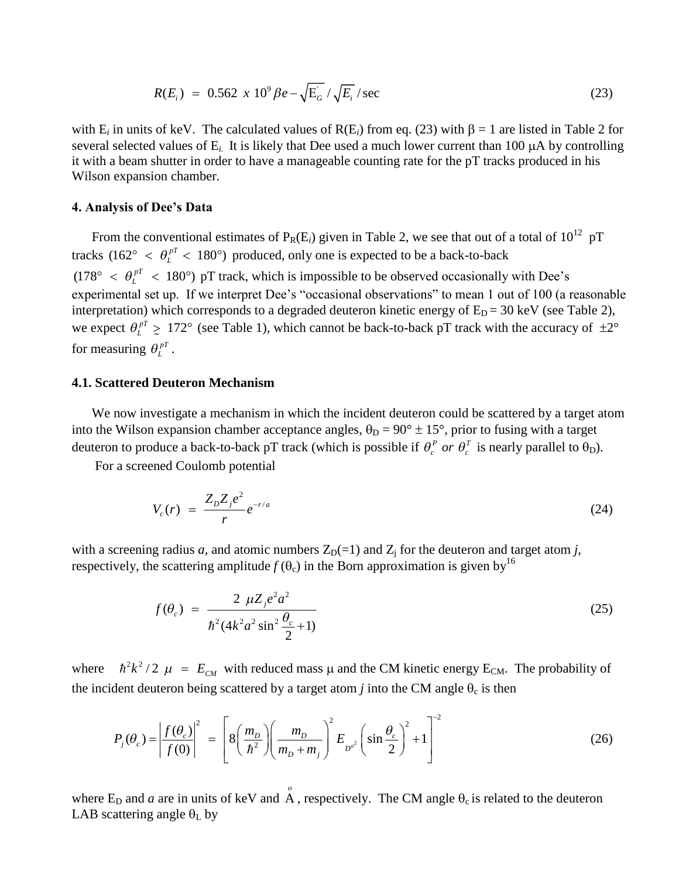$$
R(E_i) = 0.562 \times 10^9 \beta e - \sqrt{E_G} / \sqrt{E_i} / \text{sec}
$$
 (23)

with  $E_i$  in units of keV. The calculated values of  $R(E_i)$  from eq. (23) with  $\beta = 1$  are listed in Table 2 for several selected values of  $E_i$ . It is likely that Dee used a much lower current than 100  $\mu$ A by controlling it with a beam shutter in order to have a manageable counting rate for the pT tracks produced in his Wilson expansion chamber.

## **4.AnalysisofDee'sData**

From the conventional estimates of  $P_R(E_i)$  given in Table 2, we see that out of a total of  $10^{12}$  pT tracks (162°  $\lt \theta_L^{pT} \lt 180^\circ$ ) produced, only one is expected to be a back-to-back  $(178^{\circ} < \theta_t^{pT} < 180^{\circ})$  pT track, which is impossible to be observed occasionally with Dee's experimental set up. If we interpret Dee's "occasional observations" to mean 1 out of 100 (a reasonable interpretation) which corresponds to a degraded deuteron kinetic energy of  $E_D = 30$  keV (see Table 2), we expect  $\theta_L^{pT} \ge 172^\circ$  (see Table 1), which cannot be back-to-back pT track with the accuracy of  $\pm 2^\circ$  $\sim$ <br> $\sim$   $\sim$   $\frac{7}{4}$ for measuring  $\theta_L^{pT}$ .

### **4.1. Scattered Deuteron Mechanism**

We now investigate a mechanism in which the incident deuteron could be scattered by a target atom into the Wilson expansion chamber acceptance angles,  $\theta_D = 90^\circ \pm 15^\circ$ , prior to fusing with a target deuteron to produce a back-to-back pT track (which is possible if  $\theta_c^p$  or  $\theta_c^T$  is nearly parallel to  $\theta_D$ ).

For a screened Coulomb potential

$$
V_c(r) = \frac{Z_D Z_j e^2}{r} e^{-r/a}
$$
 (24)

with a screening radius *a*, and atomic numbers  $Z_D(=1)$  and  $Z_i$  for the deuteron and target atom *j*, respectively, the scattering amplitude  $f(\theta_c)$  in the Born approximation is given by<sup>16</sup>

$$
f(\theta_c) = \frac{2 \ \mu Z_j e^2 a^2}{\hbar^2 (4k^2 a^2 \sin^2 \frac{\theta_c}{2} + 1)}
$$
(25)

where  $\hbar^2 k^2 / 2$   $\mu = E_{CM}$  with reduced mass  $\mu$  and the CM kinetic energy E<sub>CM</sub>. The probability of the incident deuteron being scattered by a target atom *j* into the CM angle  $\theta_c$  is then

$$
P_j(\theta_c) = \left| \frac{f(\theta_c)}{f(0)} \right|^2 = \left[ 8 \left( \frac{m_D}{\hbar^2} \right) \left( \frac{m_D}{m_D + m_j} \right)^2 E_{D^{a^2}} \left( \sin \frac{\theta_c}{2} \right)^2 + 1 \right]^{-2}
$$
(26)

where  $E_D$  and *a* are in units of keV and  $\hat{A}$ , respectively. The CM angle  $\theta_c$  is related to the deuteron LAB scattering angle  $\theta_L$  by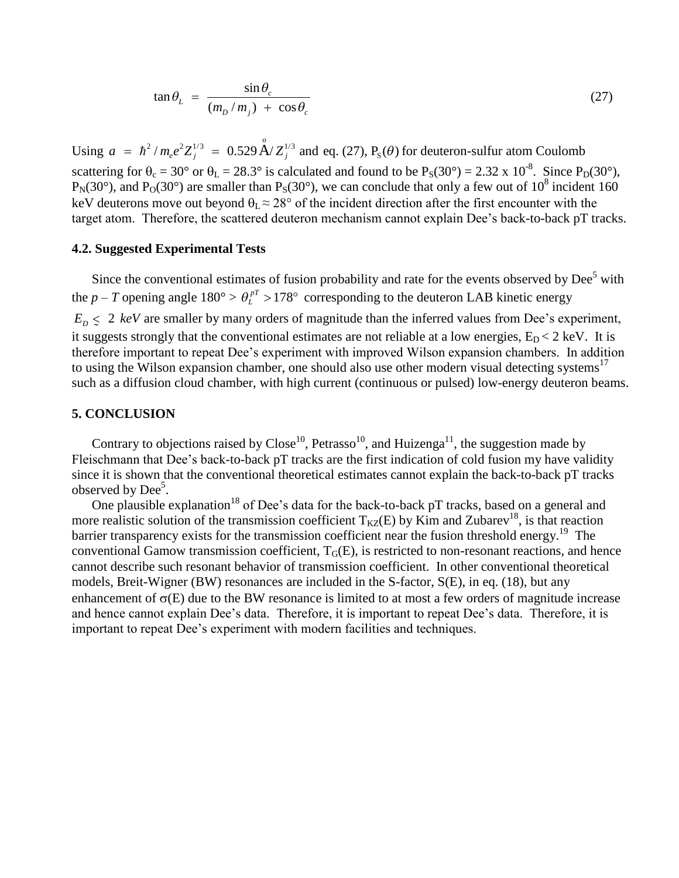$$
\tan \theta_{L} = \frac{\sin \theta_{c}}{(m_{D}/m_{j}) + \cos \theta_{c}}
$$
 (27)

Using  $a = \hbar^2 / m_e e^2 Z_j^{1/3} = 0.529 \text{ Å} / Z_j^{1/3}$  and eq. (27), P<sub>s</sub>( $\theta$ ) for deuteron-sulfur atom Coulomb scattering for  $\theta_c = 30^\circ$  or  $\theta_L = 28.3^\circ$  is calculated and found to be  $P_S(30^\circ) = 2.32 \times 10^{-8}$ . Since  $P_D(30^\circ)$ ,  $P_N(30^\circ)$ , and  $P_O(30^\circ)$  are smaller than  $P_S(30^\circ)$ , we can conclude that only a few out of  $10^8$  incident 160 keV deuterons move out beyond  $\theta_L \approx 28^\circ$  of the incident direction after the first encounter with the target atom. Therefore, the scattered deuteron mechanism cannot explain Dee's back-to-back pT tracks.

## **4.2. Suggested Experimental Tests**

Since the conventional estimates of fusion probability and rate for the events observed by Dee<sup>5</sup> with the *p* – *T* opening angle 180° >  $\theta_L^{pT}$  > 178° corresponding to the deuteron LAB kinetic energy  $E_D \leq 2 \text{ keV}$  are smaller by many orders of magnitude than the inferred values from Dee's experiment,  $\omega_D$   $\omega$  = not the simulated of magnetic strongly that the magnetic strategies,  $E_D$  < 2 keV. It is it suggests strongly that the conventional estimates are not reliable at a low energies,  $E_D$  < 2 keV. It is therefore important to repeat Dee's experiment with improved Wilson expansion chambers. In addition to using the Wilson expansion chamber, one should also use other modern visual detecting systems<sup>17</sup> such as a diffusion cloud chamber, with high current (continuous or pulsed) low-energy deuteron beams.

### **5. CONCLUSION**

Contrary to objections raised by Close<sup>10</sup>, Petrasso<sup>10</sup>, and Huizenga<sup>11</sup>, the suggestion made by Fleischmann that Dee's back-to-back pT tracks are the first indication of cold fusion my have validity since it is shown that the conventional theoretical estimates cannot explain the back-to-back pT tracks observed by Dee<sup>5</sup>.

One plausible explanation<sup>18</sup> of Dee's data for the back-to-back pT tracks, based on a general and more realistic solution of the transmission coefficient  $T_{KZ}(E)$  by Kim and Zubarev<sup>18</sup>, is that reaction barrier transparency exists for the transmission coefficient near the fusion threshold energy.<sup>19</sup> The conventional Gamow transmission coefficient,  $T_G(E)$ , is restricted to non-resonant reactions, and hence cannot describe such resonant behavior of transmission coefficient. In other conventional theoretical models, Breit-Wigner (BW) resonances are included in the S-factor, S(E), in eq. (18), but any enhancement of  $\sigma(E)$  due to the BW resonance is limited to at most a few orders of magnitude increase and hence cannot explain Dee's data. Therefore, it is important to repeat Dee's data. Therefore, it is important to repeat Dee's experiment with modern facilities and techniques.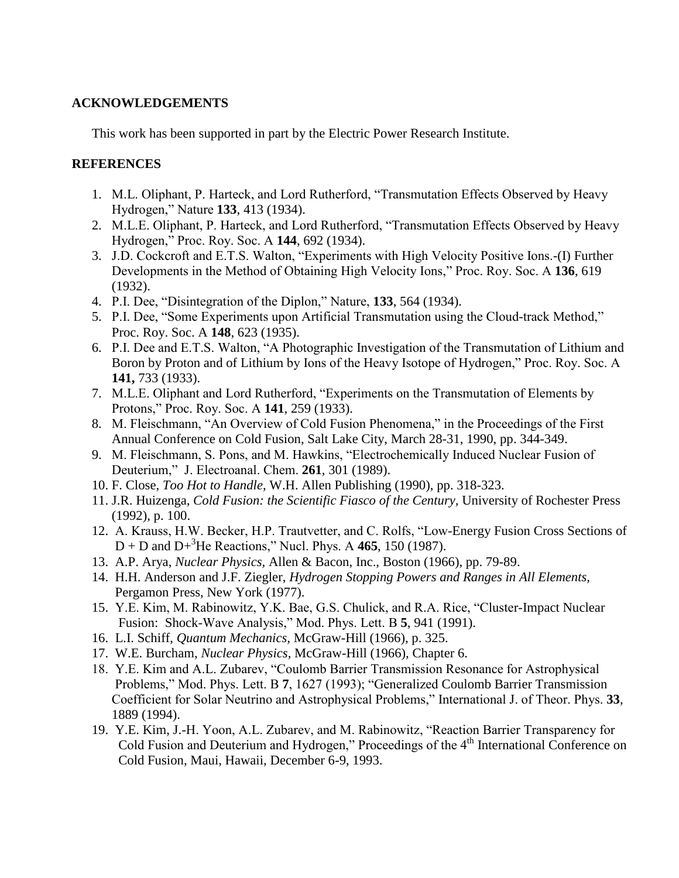## **ACKNOWLEDGEMENTS**

This work has been supported in part by the Electric Power Research Institute.

## **REFERENCES**

- 1. M.L. Oliphant, P. Harteck, and Lord Rutherford, "Transmutation Effects Observed by Heavy Hydrogen,"Nature**133**, 413 (1934).
- 2. M.L.E. Oliphant, P. Harteck, and Lord Rutherford, "Transmutation Effects Observed by Heavy Hydrogen,"Proc.Roy.Soc.A**144**, 692 (1934).
- 3. J.D. Cockcroft and E.T.S. Walton, "Experiments with High Velocity Positive Ions.-(I) Further Developments in the Method of Obtaining High Velocity Ions," Proc. Roy. Soc. A 136, 619 (1932).
- 4. P.I.Dee,"DisintegrationoftheDiplon,"Nature,**133**, 564 (1934).
- 5. P.I. Dee, "Some Experiments upon Artificial Transmutation using the Cloud-track Method," Proc. Roy. Soc. A **148**, 623 (1935).
- 6. P.I.DeeandE.T.S.Walton,"APhotographicInvestigationoftheTransmutationofLithiumand Boron by Proton and of Lithium by Ions of the Heavy Isotope of Hydrogen," Proc. Roy. Soc. A **141,** 733 (1933).
- 7. M.L.E. Oliphant and Lord Rutherford, "Experiments on the Transmutation of Elements by Protons,"Proc.Roy.Soc.A**141**, 259 (1933).
- 8. M. Fleischmann, "An Overview of Cold Fusion Phenomena," in the Proceedings of the First Annual Conference on Cold Fusion, Salt Lake City, March 28-31, 1990, pp. 344-349.
- 9. M. Fleischmann, S. Pons, and M. Hawkins, "Electrochemically Induced Nuclear Fusion of Deuterium,"J.Electroanal.Chem.**261**, 301 (1989).
- 10. F. Close, *Too Hot to Handle*, W.H. Allen Publishing (1990), pp. 318-323.
- 11. J.R. Huizenga, *Cold Fusion: the Scientific Fiasco of the Century,* University of Rochester Press (1992), p. 100.
- 12. A.Krauss,H.W.Becker,H.P.Trautvetter,andC.Rolfs,"Low-Energy Fusion Cross Sections of  $D + D$  and  $D + {}^{3}He$  Reactions," Nucl. Phys. A 465, 150 (1987).
- 13. A.P. Arya, *Nuclear Physics,* Allen & Bacon, Inc., Boston (1966), pp. 79-89.
- 14. H.H. Anderson and J.F. Ziegler, *Hydrogen Stopping Powers and Ranges in All Elements,* Pergamon Press, New York (1977).
- 15. Y.E.Kim,M.Rabinowitz,Y.K.Bae,G.S.Chulick,andR.A.Rice,"Cluster-Impact Nuclear Fusion: Shock-Wave Analysis," Mod. Phys. Lett. B 5, 941 (1991).
- 16. L.I. Schiff, *Quantum Mechanics,* McGraw-Hill (1966), p. 325.
- 17. W.E. Burcham, *Nuclear Physics,* McGraw-Hill (1966), Chapter 6.
- 18. Y.E. Kim and A.L. Zubarev, "Coulomb Barrier Transmission Resonance for Astrophysical Problems," Mod. Phys. Lett. B 7, 1627 (1993); "Generalized Coulomb Barrier Transmission Coefficient for Solar Neutrino and Astrophysical Problems," International J. of Theor. Phys. 33, 1889 (1994).
- 19. Y.E. Kim, J.-H. Yoon, A.L. Zubarev, and M. Rabinowitz, "Reaction Barrier Transparency for Cold Fusion and Deuterium and Hydrogen," Proceedings of the 4<sup>th</sup> International Conference on Cold Fusion, Maui, Hawaii, December 6-9, 1993.